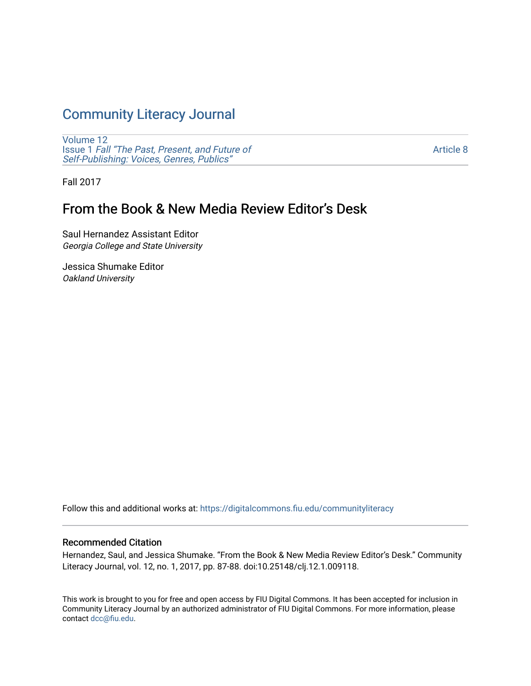# [Community Literacy Journal](https://digitalcommons.fiu.edu/communityliteracy)

[Volume 12](https://digitalcommons.fiu.edu/communityliteracy/vol12) Issue 1 [Fall "The Past, Present, and Future of](https://digitalcommons.fiu.edu/communityliteracy/vol12/iss1) [Self-Publishing: Voices, Genres, Publics"](https://digitalcommons.fiu.edu/communityliteracy/vol12/iss1) 

[Article 8](https://digitalcommons.fiu.edu/communityliteracy/vol12/iss1/8) 

Fall 2017

## From the Book & New Media Review Editor's Desk

Saul Hernandez Assistant Editor Georgia College and State University

Jessica Shumake Editor Oakland University

Follow this and additional works at: [https://digitalcommons.fiu.edu/communityliteracy](https://digitalcommons.fiu.edu/communityliteracy?utm_source=digitalcommons.fiu.edu%2Fcommunityliteracy%2Fvol12%2Fiss1%2F8&utm_medium=PDF&utm_campaign=PDFCoverPages)

#### Recommended Citation

Hernandez, Saul, and Jessica Shumake. "From the Book & New Media Review Editor's Desk." Community Literacy Journal, vol. 12, no. 1, 2017, pp. 87-88. doi:10.25148/clj.12.1.009118.

This work is brought to you for free and open access by FIU Digital Commons. It has been accepted for inclusion in Community Literacy Journal by an authorized administrator of FIU Digital Commons. For more information, please contact [dcc@fiu.edu](mailto:dcc@fiu.edu).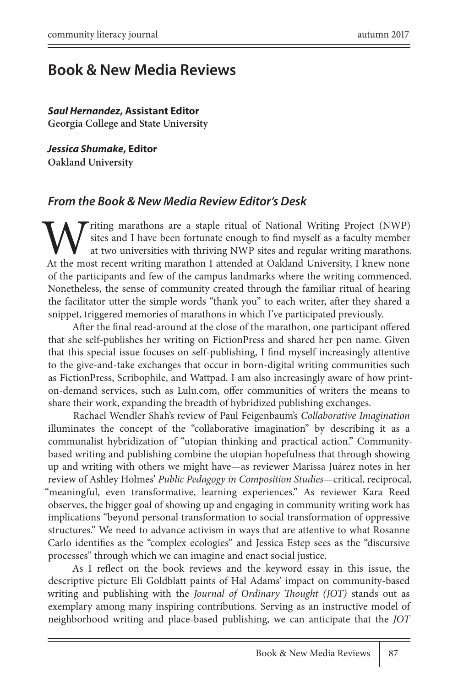## **Book & New Media Reviews**

#### *Saul Hernandez***, Assistant Editor**

**Georgia College and State University**

*Jessica Shumake***, Editor Oakland University**

#### *From the Book & New Media Review Editor's Desk*

Triting marathons are a staple ritual of National Writing Project (NWP) sites and I have been fortunate enough to find myself as a faculty member at two universities with thriving NWP sites and regular writing marathons. At the most recent writing marathon I attended at Oakland University, I knew none of the participants and few of the campus landmarks where the writing commenced. Nonetheless, the sense of community created through the familiar ritual of hearing the facilitator utter the simple words "thank you" to each writer, after they shared a snippet, triggered memories of marathons in which I've participated previously.

After the final read-around at the close of the marathon, one participant offered that she self-publishes her writing on FictionPress and shared her pen name. Given that this special issue focuses on self-publishing, I find myself increasingly attentive to the give-and-take exchanges that occur in born-digital writing communities such as FictionPress, Scribophile, and Wattpad. I am also increasingly aware of how printon-demand services, such as Lulu.com, offer communities of writers the means to share their work, expanding the breadth of hybridized publishing exchanges.

Rachael Wendler Shah's review of Paul Feigenbaum's *Collaborative Imagination* illuminates the concept of the "collaborative imagination" by describing it as a communalist hybridization of "utopian thinking and practical action." Communitybased writing and publishing combine the utopian hopefulness that through showing up and writing with others we might have—as reviewer Marissa Juárez notes in her review of Ashley Holmes' *Public Pedagogy in Composition Studies*—critical, reciprocal, "meaningful, even transformative, learning experiences." As reviewer Kara Reed observes, the bigger goal of showing up and engaging in community writing work has implications "beyond personal transformation to social transformation of oppressive structures." We need to advance activism in ways that are attentive to what Rosanne Carlo identifies as the "complex ecologies" and Jessica Estep sees as the "discursive processes" through which we can imagine and enact social justice.

As I reflect on the book reviews and the keyword essay in this issue, the descriptive picture Eli Goldblatt paints of Hal Adams' impact on community-based writing and publishing with the *Journal of Ordinary Thought (JOT)* stands out as exemplary among many inspiring contributions. Serving as an instructive model of neighborhood writing and place-based publishing, we can anticipate that the *JOT*